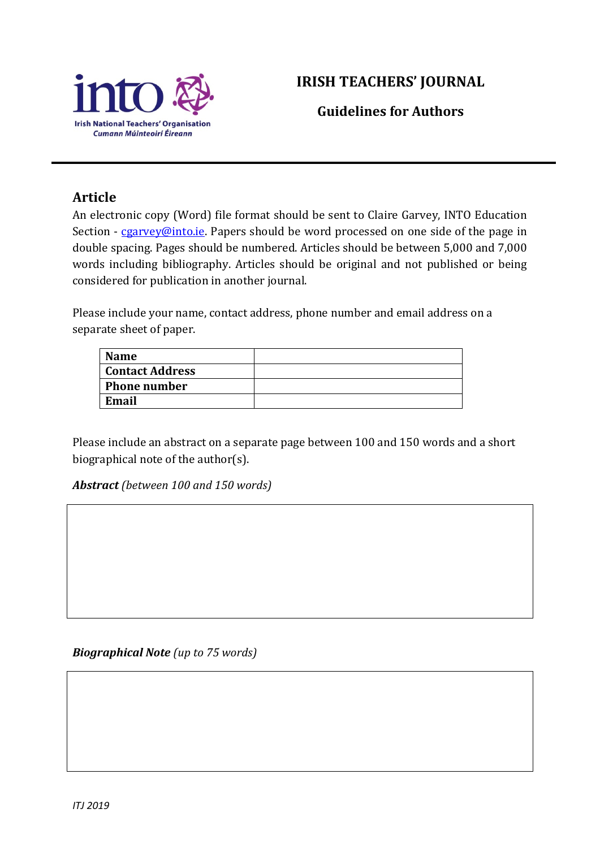

## **IRISH TEACHERS' JOURNAL**

**Guidelines for Authors**

## **Article**

An electronic copy (Word) file format should be sent to Claire Garvey, INTO Education Section - [cgarvey@into.ie.](mailto:cgarvey@into.ie) Papers should be word processed on one side of the page in double spacing. Pages should be numbered. Articles should be between 5,000 and 7,000 words including bibliography. Articles should be original and not published or being considered for publication in another journal.

Please include your name, contact address, phone number and email address on a separate sheet of paper.

| <b>Name</b>         |  |
|---------------------|--|
| Contact Address     |  |
| <b>Phone number</b> |  |
| Email               |  |

Please include an abstract on a separate page between 100 and 150 words and a short biographical note of the author(s).

*Abstract (between 100 and 150 words)*

*Biographical Note (up to 75 words)*